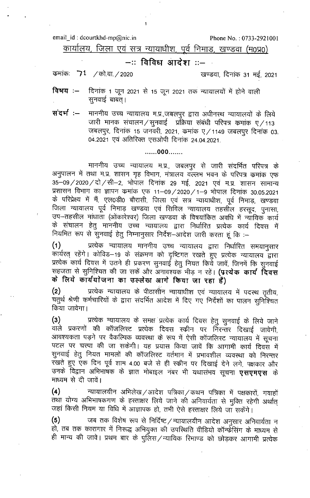email\_id: dcourtkhd-mp@nic.in

Phone No.: 0733-2921001

कार्यालय, जिला एवं सत्र न्यायाधीश, पूर्व निमाड़, खण्डवा (म0प्र0)

## –:: विविध आदेश ::–

कमांकः 71 / को.वा. / 2020

खण्डवा, दिनांक 31 मई, 2021

दिनांक 1 जून 2021 से 15 जून 2021 तक न्यायालयों में होने वाली विषय $:=$ सनवाई बाबत।

संदर्भ:-माननीय उच्च न्यायालय म.प्र.,जबलपुर द्वारा अधीनस्थ न्यायालयों के लिये जारी मानक संचालन / सूनवाई प्रक्रिया संबंधी परिपत्र कमांक ए / 113 जबलपुर, दिनांक 15 जनवरी, 2021, कमांक ए ⁄ 1149 जबलपुर दिनांक 03. 04.2021 एवं अतिरिक्त एसओपी दिनांक 24.04.2021.

## $\ldots 000 \ldots$

माननीय उच्च न्यायालय म.प्र., जबलपुर से जारी संदर्भित परिपत्र के अनुपालन में तथा म.प्र. शासन गृह विभाग, मंत्रालय वल्लभ भवन के परिपत्र कमांक एफ 35-09/2020/दो/सी-2, भोपाल दिनांक 29 मई, 2021 एवं म.प्र. शासन सामान्य प्रशासन विभाग का ज्ञापन कमांक एफ 11-09/2020/1-9 भोपाल दिनांक 30.05.2021 के परिप्रेक्ष्य में मैं, एल0डी0 बौरासी, जिला एवं सत्र न्यायाधीश, पूर्व निमाड़, खण्डवा जिला न्यायालय पूर्व निमाड़ खण्डवा एवं सिविल न्यायालय तहसील हरसूद, पुनासा, उप–तहसील मांधाता (ओंकारेश्वर) जिला खण्डवा के विषयांकित अवधि में न्यायिक कार्य के संचालन हेतु माननीय उच्च न्यायालय द्वारा निर्धारित प्रत्येक कार्य दिवस में नियमित रूप से सुनवाई हेतु निम्नानुसार निर्देश-आदेश जारी करता हूं कि :-

प्रत्येक न्यायालय माननीय उच्च न्यायालय द्वारा निर्धारित समयानुसार  $(1)$ र<br>कार्यरत् रहेंगे। कोविड–19 के संक्रमण को दृष्टिगत रखते हुए प्रत्येक न्यायालय द्वारा प्रत्येक कार्य दिवस में उतने ही प्रकरण सुनवाई हेतु नियत किये जावें, जिनमें कि सुनवाई सहजता से सुनिश्चित की जा सकें और अनावश्यक भीड़ न रहें। **(प्रत्येक कार्य दिवस** के लिये कार्ययोजना का उल्लेख आगे किया जा रहा है)

प्रत्येक न्यायालय के पीठासीन न्यायाधीश एवं न्यायालय में पदस्थ तृतीय,  $(2)$ चतुर्थ श्रेणी कर्मचारियों के द्वारा संदर्भित आदेश में दिए गए निर्देशों का पालन सुनिश्चित किया जावेगा।

प्रत्येक न्यायालय के समक्ष प्रत्येक कार्य दिवस हेतु सुनवाई के लिये जाने  $(3)$ वाले प्रकरणों की कॉजलिस्ट प्रत्येक दिवस स्कीन पर निरन्तर दिखाई जावेगी, आवश्यकता पड़ने पर वैकल्पिक व्यवस्था के रूप में ऐसी कॉजलिस्ट न्यायालय में सूचना पटल पर चस्पा की जा सकेगी। यह प्रयास किया जावें कि आगामी कार्य दिवस में सुनवाई हेतु नियत मामलों की कॉजलिस्ट वर्तमान में प्रभावशील व्यवस्था को निरन्तर रखते हुए एक दिन पूर्व शाम 4.00 बजे से ही स्क्रीन पर दिखाई देने लगे, पक्षकार और उनके विद्वान अभिभाषक के ज्ञात मोबाइल नंबर भी यथासंभव सूचना **एसएमएस** के माध्यम से दी जावें।

न्यायालयीन अभिलेख / आदेश पत्रिका / कथन पत्रिका में पक्षकारों, गवाहों  $(4)$ तथा योग्य अभिभाषकगण के हस्ताक्षर लिये जाने की अनिवार्यता से मुक्ति रहेगी अर्थात् जहां किसी नियम या विधि में आज्ञापक हो, तभी ऐसे हस्ताक्षर लिये जा सकेंगे।

जब तक विशेष रूप से निर्दिष्ट / न्यायालयीन आदेश अनुसार अनिवार्यता न  $(5)$ हो, तब तक कारागार में निरूद्ध अभियुक्त की उपरिथति वीडियो कॉन्फ्रेंसिंग के माध्यम से ही मान्य की जावे। प्रथम बार के पुलिस/न्यायिक रिमाण्ड को छोड़कर आगामी प्रत्येक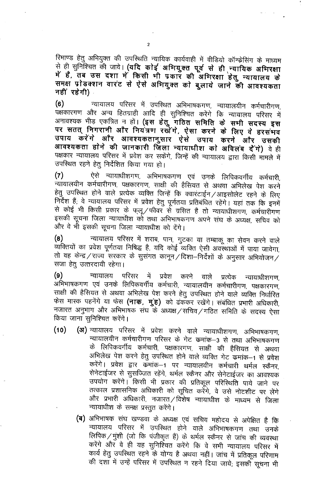रिमाण्ड हेतु अभियुक्त की उपरिथति न्यायिक कार्यवाही में वीडियो कॉन्फ्रेसिंग के माध्यम से ही सुनिश्चित की जावे। (यदि कोई अभियुक्त पूर्व से ही न्यायिक अभिरक्षा में हैं, तब उस दशा में किसी भी प्रकार की अभिरक्षा हेतु न्यायालय के समक्ष प्रोडक्शन वारंट से ऐसे अभियुक्त को बुलाये जाने की आवश्यकता नहीं रहेगी)

न्यायालय परिसर में उपस्थित अभिभाषकगण, न्यायालयीन कर्मचारीगण,  $(6)$ पक्षकारगण और अन्य हितग्राही आदि ही सुनिश्चित करेंगे कि न्यायालय परिसर में अनावश्यक भीड़ एकत्रित न हों। (इस हेतु गठित समिति के सभी सदस्य इस पर सतत् निगरानी और नियंत्रण रखेंगे, ऐसा करने के लिए वे हरसंभव उपाय करेंगे और आवश्यकतानुसार ऐसे उपाय करने और उसकी आवश्यकता होने की जानकारी जिला न्यायाधीश को अविलंब देंगे) वे ही पक्षकार न्यायालय परिसर में प्रवेश कर सकेंगे, जिन्हें की न्यायालय द्वारा किसी मामले में उपस्थित रहने हेतू निर्देशित किया गया हो।

ऐसे न्यायाधीशगण, अभिभाषकगण एवं उनके लिपिकवर्गीय कर्मचारी,  $(7)$ न्यायालयीन कर्मचारीगण, पक्षकारगण, साक्षी की हैसियत से अथवा अभिलेख पेश करने हेतू उपस्थित होने वाले प्रत्येक व्यक्ति जिन्हें कि क्वारंटाईन /आइसोलेट रहने के लिए निर्देश हैं; वे न्यायालय परिसर में प्रवेश हेतु पूर्णतया प्रतिबंधित रहेंगे। यहां तक कि इनमें से कोई भी किसी प्रकार के फ्लू/फीवर से ग्रसित है तो न्यायाधीशगण, कर्मचारीगण इसकी सूचना जिला न्यायाधीश को तथा अभिभाषकगण अपने संघ के अध्यक्ष, सचिव को और वे भी इसकी सूचना जिला न्यायाधीश को देंगे।

न्यायालय परिसर में शराब, पान, गुटका या तम्बाकू का सेवन करने वाले  $(8)$ व्यक्तियों का प्रवेश पूर्णतया निषिद्ध है, यदि कोई व्यक्ति ऐसी अवस्थाओं में पाया जावेगा, तो वह केन्द्र / राज्य सरकार के सुसंगत कानून / दिशा-निर्देशों के अनुसार अभियोजन / सजा हेत् उत्तरदायी रहेगा।

 $(9)$ परिसर में न्यायालय प्रवेश करने वाले प्रत्येक न्यायाधीशगण, अभिभाषकगण एवं उनके लिपिकवर्गीय कर्मचारी, न्यायालयीन कर्मचारीगण, पक्षकारगण, साक्षी की हैसियत से अथवा अभिलेख पेश करने हेतु उपस्थित होने वाले व्यक्ति निर्धारित फेस मास्क पहनेंगे या फेस (नाक, मुंह) को ढंककर रखेंगे। संबंधित प्रभारी अधिकारी, नजारत अनुभाग और अभिभाषक संघ के अध्यक्ष / सचिव / गठित समिति के सदस्य ऐसा किया जाना सुनिश्चित करेंगे।

- (अ) न्यायालय परिसर में प्रवेश करने वाले न्यायाधीशगण, अभिभाषकगण,  $(10)$ न्यायालयीन कर्मचारीगण परिसर के गेट कमांक-3 से तथा अभिभाषकगण के लिपिकवर्गीय कर्मचारी, पक्षकारगण, साक्षी की हैसियत से अथवा अभिलेख पेश करने हेतु उपस्थित होने वाले व्यक्ति गेट कमांक-1 से प्रवेश करेंगे। प्रवेश द्वार कमांक–1 पर न्यायालयीन कर्मचारी थर्मल स्कैनर, सेनेटाईजर से सुसज्जित रहेंगे, थर्मल स्कैनर और सेनेटाईजर का आवश्यक उपयोग करेंगे। किसी भी प्रकार की प्रतिकूल परिस्थिति पाये जाने पर तत्काल प्रशासनिक अधिकारी को सूचित करेंगे, वे उसे नोटशीट पर लेंगे और प्रभारी अधिकारी, नजारत/विशेष न्यायाधीश के माध्यम से जिला न्यायाधीश के समक्ष प्रस्तुत करेंगे।
	- (ब) अभिभाषक संघ खण्डवा के अध्यक्ष एवं सचिव महोदय से अपेक्षित है कि न्यायालय परिसर में उपस्थित होने वाले अभिभाषकगण तथा उनके लिपिक / मुंशी (जो कि पंजीकृत हैं) के थर्मल स्कैनर से जांच की व्यवस्था करेंगे और वे ही यह सुनिश्चित करेंगे कि वे सभी न्यायालय परिसर में कार्य हेतु उपरिथत रहने के योग्य है अथवा नहीं। जांच में प्रतिकूल परिणाम की दशा में उन्हें परिसर में उपस्थित न रहने दिया जाये; इसकी सूचना भी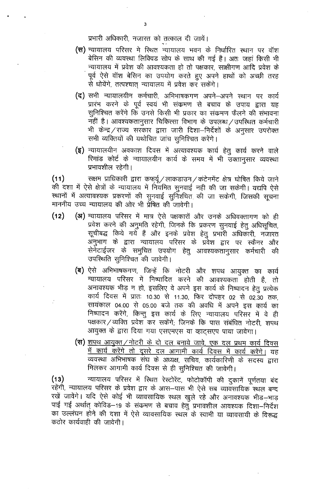- (स) न्यायालय परिसर मे रिथत न्यायालय भवन के निर्धारित स्थान पर वॉश बेसिन की व्यवस्था लिक्विड सोप के साथ की गई है। अतः जहां किसी भी न्यायालय में प्रवेश की आवश्यकता हो तो पक्षकार, साक्षीगण आदि प्रवेश के पूर्व ऐसे वॉश बेसिन का उपयोग करते हुए अपने हाथों को अच्छी तरह से धोयेंगे, तत्पश्चात् न्यायालय में प्रवेश कर सकेंगे।
- (द) सभी न्यायालयीन कर्मचारी, अभिभाषकगण अपने—अपने स्थान पर कार्य प्रारंभ करने के पूर्व स्वयं भी संक्रमण से बचाव के उपाय द्वारा यह सुनिश्चित करेंगे कि उनसे किसी भी प्रकार का संकमण फैलने की संभावना नहीं है। आवश्यकतानुसार चिकित्सा विभाग के उपलब्ध / उपस्थित कर्मचारी भी केन्द्र / राज्य सरकार द्वारा जारी दिशा—निर्देशों के अनुसार उपरोक्त सभी व्यक्तियों की यथोचित जांच सुनिश्चित करेंगे।
- **(इ)** न्यायालयीन अवकाश दिवस में अत्यावश्यक कार्य हेतु कार्य करने वाले रिमांड कोर्ट के न्यायालयीन कार्य के समय में भी उक्तानुसार व्यवस्था प्रभावशील रहेगी।

सक्षम प्राधिकारी द्वारा कफ्यूं/लाकडाउन/कंटेनमेंट क्षेत्र घोषित किये जाने  $(11)$ की दशा में ऐसे क्षेत्रों के न्यायालय में नियमित सुनवाई नही की जा सकेगी। यद्यपि ऐसे स्थानों में अत्यावश्यक प्रकरणों की सुनवाई सुनिश्चित की जा सकेगी, जिसकी सूचना माननीय उच्च न्यायालय की ओर भी प्रेषित की जावेगी।

- (अ) न्यायालय परिसर में मात्र ऐसे पक्षकारों और उनके अधिवक्तागण को ही  $(12)$ प्रवेश करने की अनुमति रहेगी, जिनके कि प्रकरण सुनवाई हेतु अधिसुचित, सूचीबद्ध किये गये हैं और इनके प्रवेश हेतू प्रभारी अधिकारी, नजारत अनुभाग के द्वारा न्यायालय परिसर के प्रवेश द्वार पर स्कैनर और सेर्नेटाईजर के समुचित उपयोग हेतु आवश्यकतानुसार कर्मचारी की उपस्थिति सुनिश्चित की जावेगी।
	- (ब) ऐसे अभिभाषकगण, जिन्हें कि नोटरी और शपथ आयुक्त का कार्य न्यायालय परिसर में निष्पादित करने की आवश्यकता होती है, तो अनावश्यक भीड़ न हो, इसलिए वे अपने इस कार्य के निष्पादन हेतु प्रत्येक कार्य दिवस में प्रातः 10.30 से 11.30, फिर दोपहर 02 से 02.30 तक. सायंकाल 04.00 से 05.00 बजे तक की अवधि में अपने इस कार्य का निष्पादन करेंगे, किन्तु इस कार्य के लिए न्यायालय परिसर में वे ही पक्षकार/व्यक्ति प्रवेश कर सकेंगे; जिनके कि पास संबंधित नोटरी, शपथ आयुक्त के द्वारा दिया गया एसएमएस या व्हाट्सएप पाया जावेगा।
	- (स) शपथ आयुक्त / नोटरी के दो दल बनाये जावे, एक दल प्रथम कार्य दिवस <u>में कार्य करेंगे तो दूसरे दल आगामी कार्य दिवस में कार्य करेंगे।</u> यह व्यवस्था अभिभाषक संघ के अध्यक्ष, सचिव, कार्यकारिणी के सदस्य द्वारा मिलकर आगामी कार्य दिवस से ही सुनिश्चित की जावेगी।

न्यायालय परिसर में स्थित रेस्टोरेंट, फोटोकॉपी की दुकानें पूर्णतया बंद  $(13)$ रहेंगी, न्यायालय परिसर के प्रवेश द्वार के आस—पास भी ऐसे सब व्यावसायिक स्थल बन्द रखें जावेंगे। यदि ऐसे कोई भी व्यावसायिक स्थल खुले रहे और अनावश्यक भीड–भाड़ पाई गई अर्थात् कोविड–19 के संकमण से बचाव हेतु प्रभावशील आवश्यक दिशा–निर्देश का उल्लंघन होने की दशा में ऐसे व्यावसायिक स्थल के स्वामी या व्यावसायी के विरूद्ध कठोर कार्यवाही की जावेगी।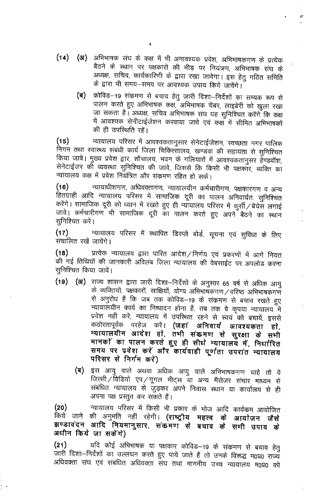- (अ) अभिभाषक संघ के कक्ष में भी अनावश्यक प्रवेश, अभिभाषकगण के प्रत्येक  $(14)$ बैठने के स्थान पर पक्षकारों की भीड़ पर नियंत्रण, अभिभाषक संघ के अध्यक्ष, सचिव, कार्यकारिणी के द्वारा रखा जावेगा। इस हेतु गठित समिति के द्वारा भी समय-समय पर आवश्यक उपाय किये जावेंगे।
	- कोविड–19 संक्रमण से बचाव हेतु जारी दिशा–निर्देशों का सम्यक रूप से (ब) पालन करते हुए अभिभाषक कक्ष, अभिभाषक चेंबर, लाइब्रेरी को खुला रखा जा सकता है। अध्यक्ष, सचिव अभिभाषक संघ यह सुनिश्चित करेंगे कि कक्ष में आवश्यक सेनीटाईजेशन करवाया जावे एवं कक्ष में सीमित अभिभाषकों की ही उपस्थिति रहे।

न्यायालय परिसर में आवश्यकतानुसार सेनेटाईजेशन, स्वच्छता नगर पालिक  $(15)$ निगम तथा स्वास्थ्य संबंधी कार्य जिला चिकित्सालय, खण्डवा की सहायता से सुनिश्चित किया जावे। मुख्य प्रवेश द्वार, शौचालय, भवन के गलियारों में आवश्यकतानुसर हेण्डवॉश, सेनेटाईजर को व्यवस्था सुनिश्चित की जावे, जिससे कि किसी भी पक्षकार, व्यक्ति का न्यायालय कक्ष में प्रवेश नियंत्रित और संक्रमण रहित हो सकें।

न्यायाधीशगण, अधिवक्तागण, न्यायालयीन कर्मचारीगण, पक्षकारगण व अन्य  $(16)$ हितग्राही आदि न्यायालय परिसर में सामाजिक दूरी का पालन अनिवार्यतः सुनिश्चित करेंगे। सामाजिक दूरी को ध्यान में रखते हुए ही न्यायालय परिसर में कुर्सी / बेंचेस लगाई जावे। कर्मचारीगण भी सामाजिक दूरी का पालन करते हुए अपने बैठने का स्थान सुनिश्चित करें।

न्यायालय परिसर में स्थापित डिस्प्ले बोर्ड, सूचना एवं सुविधा के लिए  $(17)$ संचालित रखें जायेंगे।

प्रत्येक न्यायालय द्वारा पारित आदेश/निर्णय एवं प्रकरणों में आगे नियत  $(18)$ की गई तिथियों की जानकारी अविलंब जिला न्यायालय की वेबसाईट पर अपलोड करना सूनिश्चित किया जावें।

- (19) (अ) राज्य शासन द्वारा जारी दिशा-निर्देशों के अनुसार 65 वर्ष से अधिक आयु के व्यक्तियों, पक्षकारों, साक्षियों, योग्य अभिभाषकगण/वरिष्ठ अभिभाषकगण से अनुरोध है कि जब तक कोविड–19 के संकमण से बचाव रखते हुए न्यायालयीन कार्य का निष्पादन होना है, तब तक वे कृपया न्यायालय में प्रवेश नहीं करें, न्यायालय में उपस्थित रहने से स्वयं को बचायें, इससे कठोरतापूर्वक परहेज करें**। (जहां अनिवार्य आवश्यकता** हो. न्यायालयीन आदेश हो, तभी संकमण से सुरक्षा के सभी मानकों का पालन करते हुए ही सीधे न्यायालय में, निर्धारित समय पर प्रवेश करें और कार्यवाही पूर्णता उपरांत न्यायालय परिसर से निर्गम करें)
	- इस आयु वाले अथवा अधिक आयु वाले अभिभाषकगण चाहे तो वे (ब) जित्सी/विडियो एप/गूगल मीट्स या अन्य मैंसेजर संचार माध्यम से संबंधित न्यायालय से जुड़कर अपने निवास स्थान या कार्यालय से ही अपना पक्ष प्रस्तुत कर सकते हैं।

न्यायालय परिसर में किसी भी प्रकार के भोज आदि कार्यक्रम आयोजित  $(20)$ किये जाने की अनुमति नहीं रहेगी। **(राष्ट्रीय महत्व के** आयोजन जैसे झण्डावंदन आदि नियमानुसार, संकनण से बचाव के सभी उपाय के अधीन किये जा सकेंगे)

यदि कोई अभिभाषक या पक्षकार कोविड–19 के संक्रमण से बचाव हेतु  $(21)$ जारी दिशा-निर्देशों का उल्लंघन करते हुए पाये जाते हैं तो उनके विरूद्ध म0प्र0 राज्य अधिवक्ता संघ एवं संबंधित अधिवक्ता संघ तथा माननीय उच्च न्यायालय म0प्र0 को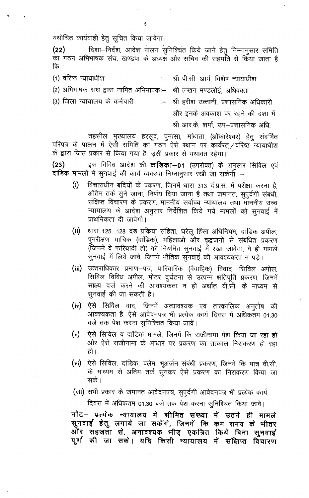यथोचित कार्यवाही हेतू सूचित किया जावेगा।

दिशा-निर्देश, आदेश पालन सुनिश्चित किये जाने हेतु निम्नानुसार समिति  $(22)$ .<br>का गठन अभिभाषक संघ, खण्डवा के अध्यक्ष और सचिव की सहमति से किया जाता है कि $:=$ 

 $\frac{1}{2} \frac{1}{\sqrt{2}} \frac{1}{\sqrt{2}}$ 

- (1) वरिष्ठ न्यायाधीश श्री पी.सी. आर्य. विशेष न्यायाधीश  $\frac{1}{2}$
- (2) अभिभाषक संघ द्वारा नामित अभिभाषकः– श्री लखन मण्डलोई, अधिवक्ता
- (3) जिला न्यायालय के कर्मचारी
- श्री हरीश उत्तानी, प्रशासनिक अधिकारी और इनके अवकाश पर रहने की दशा में

श्री आर.के. शर्मा, उप–प्रशासनिक अधि.

तहसील मुख्यालय हरसूद, पुनासा, मांधाता (ओंकारेश्वर) हेतु सदर्भित परिपत्र के पालन में ऐसी समिति का गठन ऐसे स्थान पर कार्यरत ⁄वरिष्ठ न्यायाधीश के द्वारा जिस प्रकार से किया गया है, उसी प्रकार से यथावत रहेगा।

 $(23)$ इस विविध आदेश की कंडिका-01 (उपरोक्त) के अनुसार सिविल एवं दांडिक मामलों में सुनवाई की कार्य व्यवस्था निम्नानुसार रखी जा सकेगी :-

- $(i)$ विचाराधीन बंदियों के प्रकरण, जिनमें धारा 313 द.प्र.सं. में परीक्षा करना है, अंतिम तर्क सूने जाना, निर्णय दिया जाना है तथा जमानत, सुपुर्दगी संबंधी, संक्षिप्त विचारण के प्रकरण, माननीय सर्वोच्च न्यायालय तथा माननीय उच्च न्यायालय के आदेश अनुसार निर्देशित किये गये मामलों को सुनवाई में प्राथमिकता दी जावेगी।
- $(ii)$ धारा 125, 128 दंड प्रकिया संहिता, घरेलू हिंसा अधिनियम, दांडिक अपील, पुनरीक्षण याचिक (दांडिक), महिलाओं और वृद्धजनों से संबंधित प्रकरण (जिनमें वे फरियादी हो) को नियमित सुनवाई में रखा जावेगा, वे ही मामले सुनवाई में लिये जावें, जिनमें भौतिक सुनवाई की आवश्यकता न पड़े।
- (iii) उत्तराधिकार प्रमाण-पत्र, पारिवारिक (वैवाहिक) विवाद, सिविल अपील, सिविल विविध अपील, मोटर दूर्घटना से उत्पन्न क्षतिपूर्ति प्रकरण, जिनमें साक्ष्य दर्ज करने की आवश्यकता न हो अर्थात वी.सी. के माध्यम से सुनवाई की जा सकती है।
- (iv) ऐसे सिविल वाद, जिनमें अत्यावश्यक एवं तात्कालिक अनुतोष की आवश्यकता है, ऐसे आवेदनपत्र भी प्रत्येक कार्य दिवस में अधिकतम 01.30 बजे तक पेश करना सुनिश्चित किया जावें।
- (v) ऐसे सिविल व दांडिक मामले, जिनमें कि राजीनामा पेश किया जा रहा हो और ऐसे राजीनामा के आधार पर प्रकरण का तत्काल निराकरण हो रहा हो ।
- (vi) ऐसे सिविल, दांडिक, क्लेम, भूअर्जन संबंधी प्रकरण, जिनमे कि मात्र वी.सी. के माध्यम से अंतिम तर्क सुनकर ऐसे प्रकरण का निराकरण किया जा सके ।
- (vii) सभी प्रकार के जमानत आवेदनपत्र, सुपुर्दगी आवेदनपत्र भी प्रत्येक कार्य

दिवस में अधिकतम 01.30 बजे तक पेश करना सुनिश्चित किया जावें।

नोट- प्रत्येक न्यायालय में सीमित संख्या में उतने ही मामले सुनवाई हेतु लगाये जा सकेंगे, जिनमें कि कम समय के भीतर और सहजता से, अनावश्यक भीड़ एकत्रित किये बिना सुनवाई पूर्ण की जा सकें। यदि किसी न्यायालय में संक्षिप्त विचारण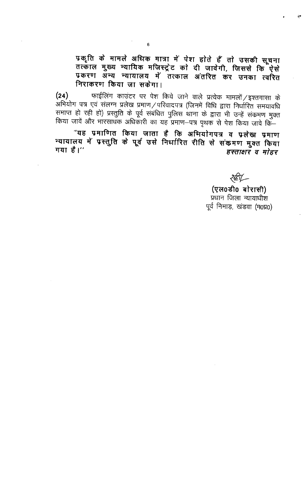प्रकृति के मामले अधिक मात्रा में पेश होते हैं तो उसकी सूचना तत्काल मुख्य न्यायिक मजिस्ट्रेट को दी जावेगी, जिससे कि ऐसे प्रकरण अन्य न्यायालय में तत्काल अंतरित कर उनका त्वरित निराकरण किया जा सकेगा।

फाईलिंग काउंटर पर पेश किये जाने वाले प्रत्येक मामलों / इश्तगासा के  $(24)$ ्<br>अभियोग पत्र एवं सलग्न प्रलेख प्रमाण/परिवादपत्र (जिनमें विधि द्वारा निर्धारित समयावधि समाप्त हो रही हो) प्रस्तुति के पूर्व संबंधित पुलिस थाना के द्वारा भी उन्हें सकमण मुक्त किया जावें और भारसाधक अधिकारी का यह प्रमाण-पत्र पृथक से पेश किया जावे कि-

"यह प्रमाणित किया जाता है कि अभियोगपत्र व प्रलेख प्रमाण न्यायालय में प्रस्तुति के पूर्व उसे निर्धारित रीति से संकमण मुक्त किया गया है।" हस्ताक्षर व मोहर

**267-**

(एल0डी0 बोरासी) प्रधान जिला न्यायाधीश पूर्व निमाड़, खंडवा (म0प्र0)